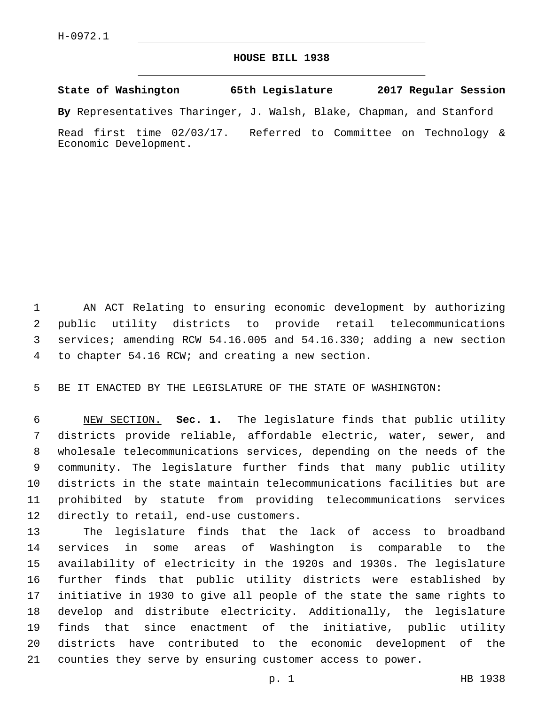## **HOUSE BILL 1938**

**State of Washington 65th Legislature 2017 Regular Session**

**By** Representatives Tharinger, J. Walsh, Blake, Chapman, and Stanford

Read first time 02/03/17. Referred to Committee on Technology & Economic Development.

 AN ACT Relating to ensuring economic development by authorizing public utility districts to provide retail telecommunications services; amending RCW 54.16.005 and 54.16.330; adding a new section 4 to chapter 54.16 RCW; and creating a new section.

BE IT ENACTED BY THE LEGISLATURE OF THE STATE OF WASHINGTON:

 NEW SECTION. **Sec. 1.** The legislature finds that public utility districts provide reliable, affordable electric, water, sewer, and wholesale telecommunications services, depending on the needs of the community. The legislature further finds that many public utility districts in the state maintain telecommunications facilities but are prohibited by statute from providing telecommunications services directly to retail, end-use customers.

 The legislature finds that the lack of access to broadband services in some areas of Washington is comparable to the availability of electricity in the 1920s and 1930s. The legislature further finds that public utility districts were established by initiative in 1930 to give all people of the state the same rights to develop and distribute electricity. Additionally, the legislature finds that since enactment of the initiative, public utility districts have contributed to the economic development of the counties they serve by ensuring customer access to power.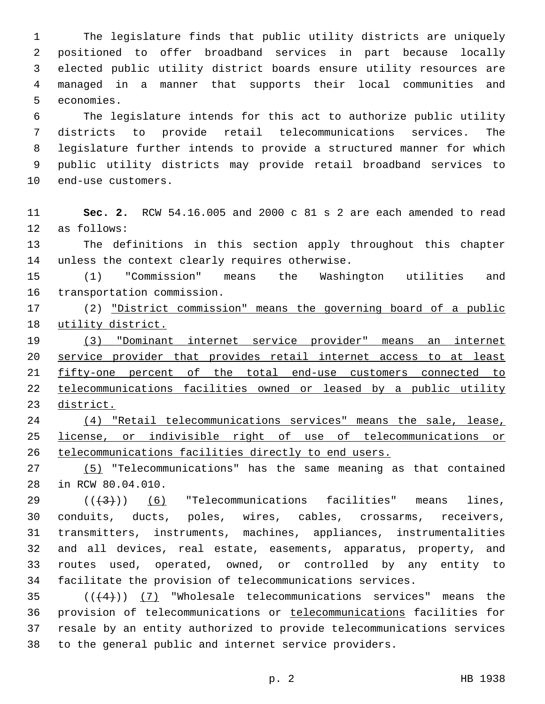The legislature finds that public utility districts are uniquely positioned to offer broadband services in part because locally elected public utility district boards ensure utility resources are managed in a manner that supports their local communities and 5 economies.

 The legislature intends for this act to authorize public utility districts to provide retail telecommunications services. The legislature further intends to provide a structured manner for which public utility districts may provide retail broadband services to 10 end-use customers.

 **Sec. 2.** RCW 54.16.005 and 2000 c 81 s 2 are each amended to read 12 as follows:

 The definitions in this section apply throughout this chapter 14 unless the context clearly requires otherwise.

 (1) "Commission" means the Washington utilities and 16 transportation commission.

17 (2) "District commission" means the governing board of a public utility district.

 (3) "Dominant internet service provider" means an internet service provider that provides retail internet access to at least fifty-one percent of the total end-use customers connected to telecommunications facilities owned or leased by a public utility district.

 (4) "Retail telecommunications services" means the sale, lease, license, or indivisible right of use of telecommunications or telecommunications facilities directly to end users.

 (5) "Telecommunications" has the same meaning as that contained 28 in RCW 80.04.010.

 $((+3+))$  (6) "Telecommunications facilities" means lines, conduits, ducts, poles, wires, cables, crossarms, receivers, transmitters, instruments, machines, appliances, instrumentalities and all devices, real estate, easements, apparatus, property, and routes used, operated, owned, or controlled by any entity to facilitate the provision of telecommunications services.

 $((+4))$   $(7)$  "Wholesale telecommunications services" means the provision of telecommunications or telecommunications facilities for resale by an entity authorized to provide telecommunications services to the general public and internet service providers.

p. 2 HB 1938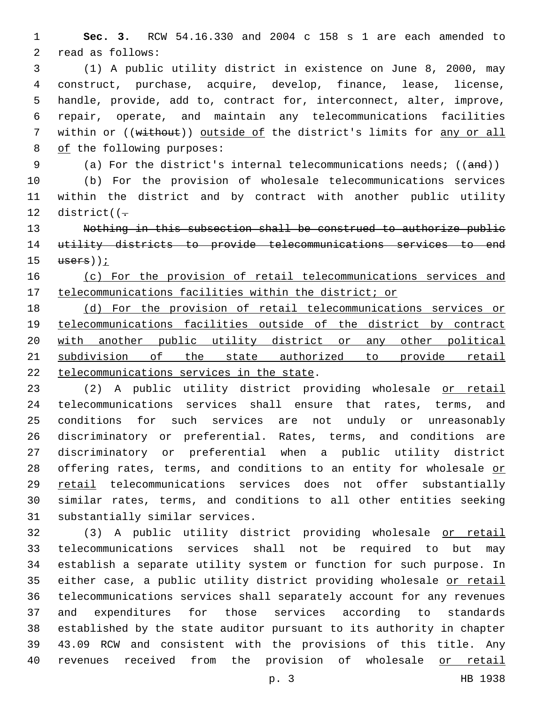**Sec. 3.** RCW 54.16.330 and 2004 c 158 s 1 are each amended to 2 read as follows:

 (1) A public utility district in existence on June 8, 2000, may construct, purchase, acquire, develop, finance, lease, license, handle, provide, add to, contract for, interconnect, alter, improve, repair, operate, and maintain any telecommunications facilities 7 within or ((without)) outside of the district's limits for any or all 8 of the following purposes:

9 (a) For the district's internal telecommunications needs; ((and))

 (b) For the provision of wholesale telecommunications services within the district and by contract with another public utility 12 district( $(-$ 

 Nothing in this subsection shall be construed to authorize public utility districts to provide telecommunications services to end users));

## (c) For the provision of retail telecommunications services and telecommunications facilities within the district; or

 (d) For the provision of retail telecommunications services or telecommunications facilities outside of the district by contract 20 with another public utility district or any other political subdivision of the state authorized to provide retail 22 telecommunications services in the state.

 (2) A public utility district providing wholesale or retail telecommunications services shall ensure that rates, terms, and conditions for such services are not unduly or unreasonably discriminatory or preferential. Rates, terms, and conditions are discriminatory or preferential when a public utility district 28 offering rates, terms, and conditions to an entity for wholesale or retail telecommunications services does not offer substantially similar rates, terms, and conditions to all other entities seeking 31 substantially similar services.

 (3) A public utility district providing wholesale or retail telecommunications services shall not be required to but may establish a separate utility system or function for such purpose. In 35 either case, a public utility district providing wholesale or retail telecommunications services shall separately account for any revenues and expenditures for those services according to standards established by the state auditor pursuant to its authority in chapter 43.09 RCW and consistent with the provisions of this title. Any revenues received from the provision of wholesale or retail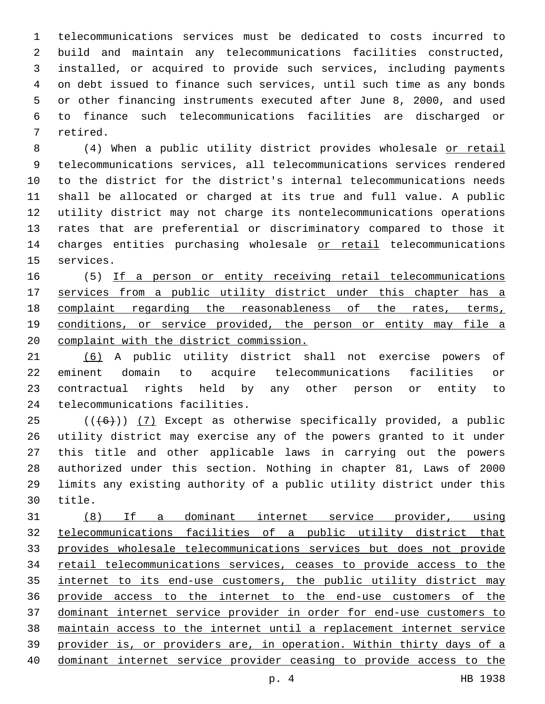telecommunications services must be dedicated to costs incurred to build and maintain any telecommunications facilities constructed, installed, or acquired to provide such services, including payments on debt issued to finance such services, until such time as any bonds or other financing instruments executed after June 8, 2000, and used to finance such telecommunications facilities are discharged or 7 retired.

 (4) When a public utility district provides wholesale or retail telecommunications services, all telecommunications services rendered to the district for the district's internal telecommunications needs shall be allocated or charged at its true and full value. A public utility district may not charge its nontelecommunications operations rates that are preferential or discriminatory compared to those it 14 charges entities purchasing wholesale or retail telecommunications 15 services.

 (5) If a person or entity receiving retail telecommunications 17 services from a public utility district under this chapter has a complaint regarding the reasonableness of the rates, terms, 19 conditions, or service provided, the person or entity may file a complaint with the district commission.

 (6) A public utility district shall not exercise powers of eminent domain to acquire telecommunications facilities or contractual rights held by any other person or entity to 24 telecommunications facilities.

 (( $(46)$ )) (7) Except as otherwise specifically provided, a public utility district may exercise any of the powers granted to it under this title and other applicable laws in carrying out the powers authorized under this section. Nothing in chapter 81, Laws of 2000 limits any existing authority of a public utility district under this 30 title.

 (8) If a dominant internet service provider, using telecommunications facilities of a public utility district that provides wholesale telecommunications services but does not provide retail telecommunications services, ceases to provide access to the internet to its end-use customers, the public utility district may provide access to the internet to the end-use customers of the dominant internet service provider in order for end-use customers to maintain access to the internet until a replacement internet service provider is, or providers are, in operation. Within thirty days of a dominant internet service provider ceasing to provide access to the